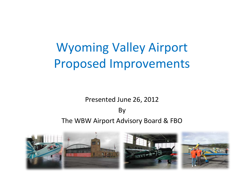# Wyoming Valley Airport Proposed Improvements

#### Presented June 26, 2012 By The WBW Airport Advisory Board & FBO

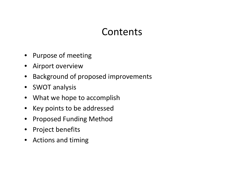#### **Contents**

- Purpose of meeting
- Airport overview
- Background of proposed improvements
- SWOT analysis
- What we hope to accomplish
- Key points to be addressed
- Proposed Funding Method
- Project benefits
- Actions and timing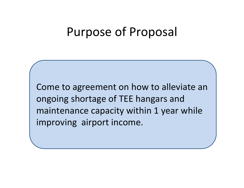### Purpose of Proposal

Come to agreement on how to alleviate an ongoing shortage of TEE hangars and maintenance capacity within 1 year while improving airport income.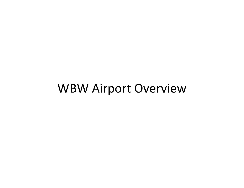#### WBW Airport Overview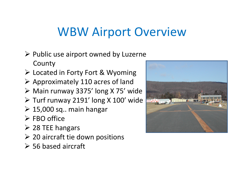## WBW Airport Overview

- $\triangleright$  Public use airport owned by Luzerne County
- Located in Forty Fort & Wyoming
- Approximately 110 acres of land
- Main runway 3375' long X 75' wide
- Turf runway 2191' long X 100' wide
- $\geq 15,000$  sq.. main hangar
- $\triangleright$  FBO office
- 28 TEE hangars
- $\geqslant$  20 aircraft tie down positions
- 56 based aircraft

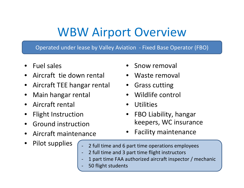# WBW Airport Overview

Operated under lease by Valley Aviation ‐ Fixed Base Operator (FBO)

- Fuel sales
- Aircraft tie down rental
- Aircraft TEE hangar rental
- Main hangar rental
- Aircraft rental
- Flight Instruction
- Ground instruction
- Aircraft maintenance

‐

‐

• Pilot supplies

- Snow removal
- Waste removal
- Grass cutting
- Wildlife control
- Utilities
- FBO Liability, hangar keepers, WC insurance
- Facility maintenance
- 2 full time and 6 part time operations employees
- 2 full time and 3 part time flight instructors
- ‐1 part time FAA authorized aircraft inspector / mechanic
- ‐50 flight students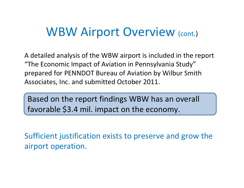#### WBW Airport Overview (cont.)

A detailed analysis of the WBW airport is included in the report "The Economic Impact of Aviation in Pennsylvania Study" prepared for PENNDOT Bureau of Aviation by Wilbur Smith Associates, Inc. and submitted October 2011.

Based on the report findings WBW has an overall favorable \$3.4 mil. impact on the economy.

Sufficient justification exists to preserve and grow the airport operation.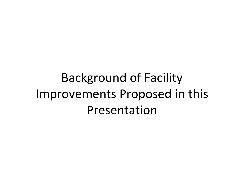# Background of Facility Improvements Proposed in this Presentation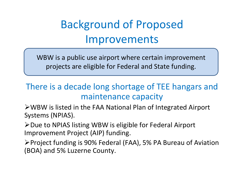### Background of Proposed Improvements

WBW is <sup>a</sup> public use airport where certain improvement projects are eligible for Federal and State funding.

#### There is <sup>a</sup> decade long shortage of TEE hangars and maintenance capacity

WBW is listed in the FAA National Plan of Integrated Airport Systems (NPIAS).

≻Due to NPIAS listing WBW is eligible for Federal Airport Improvement Project (AIP) funding.

Project funding is 90% Federal (FAA), 5% PA Bureau of Aviation (BOA) and 5% Luzerne County.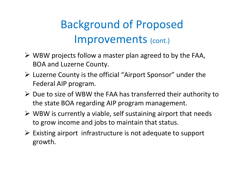### Background of Proposed Improvements (cont.)

- WBW projects follow <sup>a</sup> master plan agreed to by the FAA, BOA and Luzerne County.
- Luzerne County is the official "Airport Sponsor" under the Federal AIP program.
- $\triangleright$  Due to size of WBW the FAA has transferred their authority to the state BOA regarding AIP program management.
- $\triangleright$  WBW is currently a viable, self sustaining airport that needs to grow income and jobs to maintain that status.
- $\triangleright$  Existing airport infrastructure is not adequate to support growth.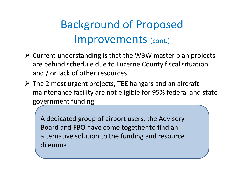### Background of Proposed Improvements (cont.)

- $\triangleright$  Current understanding is that the WBW master plan projects are behind schedule due to Luzerne County fiscal situation and / or lack of other resources.
- The 2 most urgent projects, TEE hangars and an aircraft maintenance facility are not eligible for 95% federal and state government funding.

A dedicated group of airport users, the Advisory Board and FBO have come together to find an alternative solution to the funding and resource dilemma.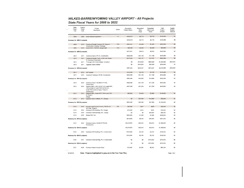#### **WILKES-BARRE/WYOMING VALLEY AIRPORT - All Projects** State Fiscal Years for 2008 to 2022

|           | State<br>Fiscal<br>Year       | Federal<br>Fiscal<br>Year | Project<br>Description                                                                                                                      | <b>Status</b> | Requested<br><b>Federal Share</b> | Requested<br>State<br>Share | Requested<br>Other/Local<br>Share | Total<br>Project<br>Amount | Capital<br>Budget<br>Amount |
|-----------|-------------------------------|---------------------------|---------------------------------------------------------------------------------------------------------------------------------------------|---------------|-----------------------------------|-----------------------------|-----------------------------------|----------------------------|-----------------------------|
|           | 2008                          | 2009                      | Snow removal equipment                                                                                                                      | G             | \$103,075                         | \$2,712                     | \$2,712                           | \$108,499                  | \$0                         |
|           | Summary for 2008 (1 projects) |                           |                                                                                                                                             |               | \$103,075                         | \$2,712                     | \$2,712                           | \$108,499                  | \$0                         |
|           | 2009                          | 2010                      | Construct Parallel Taxiway "B", Phase II<br>Construction, Grading Drainage                                                                  | <b>TAC</b>    | \$287,451                         | \$7,564                     | \$7,565                           | \$302,580                  | \$0                         |
|           | 2009                          | 2010                      | Install GVGI, RW7/25, design build                                                                                                          | <b>TAS</b>    | \$85,500                          | \$2,250                     | \$2,250                           | \$90,000                   | \$0                         |
|           | Summary for 2009 (2 projects) |                           |                                                                                                                                             |               | \$372,951                         | \$9,814                     | \$9,815                           | \$392,580                  | \$0                         |
|           | 2010                          | 2011                      | Construct Apron, Ph IIA, Construction                                                                                                       |               | \$422,940                         | \$11,130                    | \$11,130                          | \$445,200                  | \$0                         |
|           | 2010                          | 2011                      | Construct Parallel TW B, 3300 x 40, Phase                                                                                                   |               | \$574,082                         | \$15,107                    | \$15,107                          | \$604,296                  | \$0                         |
|           |                               |                           | III, Construct Pavements                                                                                                                    |               |                                   |                             |                                   |                            |                             |
|           | 2010                          | 2011                      | T-Hangars (30 Units) Design Construct                                                                                                       |               | S <sub>0</sub>                    | \$150,000                   | \$600,000                         | \$1,200,000                | \$450,000                   |
|           | 2010                          | 2011                      | <b>Upgrade Airport Utilities</b>                                                                                                            |               | \$0                               | \$150,000                   | \$50,000                          | \$200,000                  | \$0                         |
|           | Summary for 2010 (4 projects) |                           |                                                                                                                                             |               | \$997,022                         | \$326,237                   | \$676,237                         | \$2,449,496                | \$450,000                   |
|           | 2011                          |                           | 2012 ALP Update                                                                                                                             |               | \$142,500                         | \$3,750                     | \$3,750                           | \$150,000                  | \$0                         |
|           | 2011                          | 2012                      | Construct Taxilanes, Ph IIB, Construction                                                                                                   |               | \$422,940                         | \$11,130                    | \$11,130                          | \$445,200                  | \$0                         |
|           | Summary for 2011 (2 projects) |                           |                                                                                                                                             |               | \$565,440                         | \$14,880                    | \$14,880                          | \$595,200                  | \$0                         |
|           | 2012                          | 2013                      | Construct Apron 130,500 SF Ph IIC,                                                                                                          |               | \$422,940                         | \$11,130                    | \$11,130                          | \$445,200                  | \$0                         |
|           | 2012                          | 2014                      | Construction<br>Replace MIRL (1991) (6750 LF), Install MITL<br>T/W A (2340 LF) and T/W B (6740 LF),<br>Install TW Guidance Signs, Phase II. |               | \$427,500                         | \$11,250                    | \$11,250                          | \$450,000                  | \$0                         |
|           | 2012                          | 2013                      | Construction<br>Replace MIRL, Install MITL T/W A and T/W<br>B, Phase I:<br>Design                                                           |               | \$95,000                          | \$2,500                     | \$2,500                           | \$100,000                  | \$0                         |
|           | 2012                          | 2013                      | Upgrade Airport Utilities, Ph I: Design                                                                                                     |               | \$0                               | \$37,500                    | \$12,500                          | \$50,000                   | \$0                         |
|           | Summary for 2012 (4 projects) |                           |                                                                                                                                             | \$945,440     | \$62,380                          | \$37,380                    | \$1,045,200                       | \$0                        |                             |
|           | 2013                          | 2014                      | Acquire Land (0.4 AC) Pizano, RW 25 (11                                                                                                     | <b>DR</b>     | \$36,385                          | \$957                       | \$958                             | \$38,300                   | \$0                         |
|           | 2013                          | 2014                      | AC) Fein, Phase II<br>Construct SRE Building, Ph I, Design                                                                                  |               | \$14,250                          | \$375                       | \$375                             | \$15,000                   | \$0                         |
|           | 2013                          | 2014                      | Construct Terminal Bldg, Ph I, Design                                                                                                       |               | \$0                               | \$0                         | \$48,000                          | \$48,000                   | \$0                         |
|           | 2013                          | 2014                      | Rehab RW 7-25                                                                                                                               |               | \$266,000                         | \$7,000                     | \$7,000                           | \$280,000                  | \$0                         |
|           | Summary for 2013 (4 projects) |                           |                                                                                                                                             | \$316,635     | \$8,332                           | \$56,333                    | \$381,300                         | S <sub>0</sub>             |                             |
|           | 2014                          | 2015                      | Construct Apron 130,500 SF Ph IID,<br>Construction                                                                                          |               | \$1,216,570                       | \$32,015                    | \$32,015                          | \$1,280,600                | S <sub>0</sub>              |
|           | Summary for 2014 (1 projects) |                           |                                                                                                                                             |               | \$1,216,570                       | \$32,015                    | \$32,015                          | \$1,280,600                | \$0                         |
|           | 2015                          | 2016                      | Construct SRE Building, Ph II, Construction                                                                                                 |               | \$142,500                         | \$3,750                     | \$3,750                           | \$150,000                  | SO                          |
|           | Summary for 2015 (1 projects) |                           |                                                                                                                                             | \$142,500     | \$3,750                           | \$3,750                     | \$150,000                         | S <sub>0</sub>             |                             |
|           | 2016                          | 2017                      | Construct Terminal Bldg, Ph II, Construction                                                                                                |               | \$0                               | \$0                         | \$475,000                         | \$475,000                  | \$0                         |
|           | Summary for 2016 (1 projects) |                           |                                                                                                                                             |               | \$0                               | \$0                         | \$475,000                         | \$475,000                  | \$0                         |
|           | 2017                          | 2018                      | <b>Construct Airport Access Road</b>                                                                                                        |               | \$72,000                          | \$4,000                     | \$4,000                           | \$80,000                   | \$0                         |
|           |                               |                           |                                                                                                                                             |               |                                   |                             |                                   |                            |                             |
| 9/16/2010 |                               |                           | Note: Projects highlighted in gray are in the Four Year Plan.                                                                               |               |                                   |                             |                                   |                            | Page 1 of 2                 |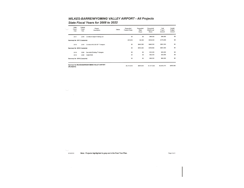#### WILKES-BARRE/WYOMING VALLEY AIRPORT - All Projects

#### State Fiscal Years for 2008 to 2022

|                               | State<br>Fiscal<br>Year       | Federal<br>Fiscal<br>Year | Project<br>Description                          | <b>Status</b> | Requested<br>Federal Share | Requested<br>State<br>Share | Requested<br>Other/Local<br>Share | Total<br>Project<br>Amount | Capital<br>Budget<br>Amount |
|-------------------------------|-------------------------------|---------------------------|-------------------------------------------------|---------------|----------------------------|-----------------------------|-----------------------------------|----------------------------|-----------------------------|
|                               | 2017                          | 2018                      | <b>Construct Airport Parking Lot</b>            |               | \$0                        | \$0                         | \$96,000                          | \$96,000                   | \$0                         |
| Summary for 2017 (2 projects) |                               |                           |                                                 |               | \$72,000                   | \$4,000                     | \$100,000                         | \$176,000                  | \$0                         |
|                               | 2018                          | 2019                      | Construct 60,000 SF T-hangars                   |               | \$0                        | \$440,500                   | \$440,500                         | \$881,000                  | \$0                         |
|                               | Summary for 2018 (1 projects) |                           |                                                 | \$0           | \$440,500                  | \$440,500                   | \$881,000                         | \$0                        |                             |
|                               | 2019                          | 2020                      | Demolish Existing T-Hangars                     |               | \$0                        | \$0                         | \$25,000                          | \$25,000                   | \$0                         |
|                               | 2019                          | 2020                      | Install NDB                                     |               | \$0                        | \$0                         | \$44,000                          | \$44,000                   | \$0                         |
|                               | Summary for 2019 (2 projects) |                           |                                                 |               | \$0                        | \$0                         | \$69,000                          | \$69,000                   | \$0                         |
|                               | (25 projects)                 |                           | Summary for WILKES-BARRE/WYOMING VALLEY AIRPORT |               | \$4,731,633                | \$904,620                   | \$1,917,622                       | \$8,003,875                | \$450,000                   |

9/16/2010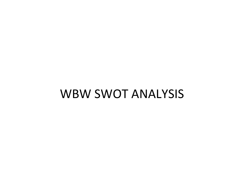#### WBW SWOT ANALYSIS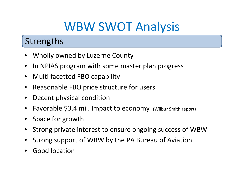### WBW SWOT Analysis

#### **Strengths**

- Wholly owned by Luzerne County
- In NPIAS program with some master plan progress
- Multi facetted FBO capability
- Reasonable FBO price structure for users
- Decent physical condition
- Favorable \$3.4 mil. Impact to economy (Wilbur Smith report)
- Space for growth
- Strong private interest to ensure ongoing success of WBW
- Strong support of WBW by the PA Bureau of Aviation
- Good location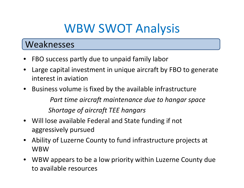### WBW SWOT Analysis

#### Weaknesses

- FBO success partly due to unpaid family labor
- Large capital investment in unique aircraft by FBO to generate interest in aviation
- Business volume is fixed by the available infrastructure *Part time aircraft maintenance due to hangar space Shortage of aircraft TEE hangars*
- Will lose available Federal and State funding if not aggressively pursued
- Ability of Luzerne County to fund infrastructure projects at WBW
- WBW appears to be <sup>a</sup> low priority within Luzerne County due to available resources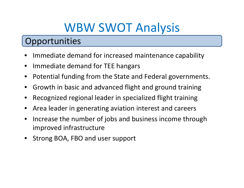### WBW SWOT Analysis

#### **Opportunities**

- Immediate demand for increased maintenance capability
- Immediate demand for TEE hangars
- Potential funding from the State and Federal governments.
- Growth in basic and advanced flight and ground training
- Recognized regional leader in specialized flight training
- Area leader in generating aviation interest and careers
- Increase the number of jobs and business income through improved infrastructure
- Strong BOA, FBO and user support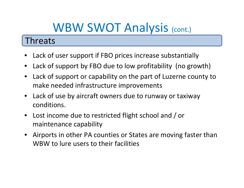## WBW SWOT Analysis (cont.)

#### Threats

- Lack of user support if FBO prices increase substantially
- Lack of support by FBO due to low profitability (no growth)
- Lack of support or capability on the part of Luzerne county to make needed infrastructure improvements
- Lack of use by aircraft owners due to runway or taxiway conditions.
- Lost income due to restricted flight school and / or maintenance capability
- Airports in other PA counties or States are moving faster than WBW to lure users to their facilities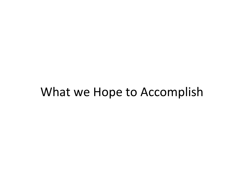#### What we Hope to Accomplish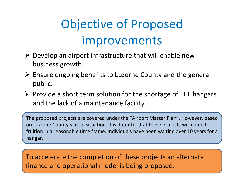# Objective of Proposed improvements

- $\triangleright$  Develop an airport infrastructure that will enable new business growth.
- $\triangleright$  Ensure ongoing benefits to Luzerne County and the general public.
- $\triangleright$  Provide a short term solution for the shortage of TEE hangars and the lack of <sup>a</sup> maintenance facility.

The proposed projects are covered under the "Airport Master Plan". However, based on Luzerne County's fiscal situation it is doubtful that these projects will come to fruition in <sup>a</sup> reasonable time frame. Individuals have been waiting over 10 years for <sup>a</sup> hangar.

To accelerate the completion of these projects an alternate finance and operational model is being proposed.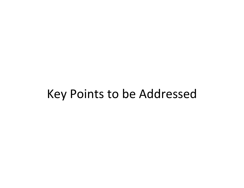#### Key Points to be Addressed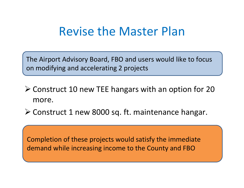### Revise the Master Plan

The Airport Advisory Board, FBO and users would like to focus on modifying and accelerating 2 projects

- Construct 10 new TEE hangars with an option for 20 more.
- Construct 1 new 8000 sq. ft. maintenance hangar.

Completion of these projects would satisfy the immediate demand while increasing income to the County and FBO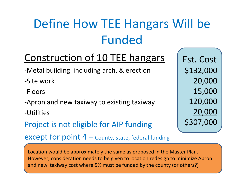# Define How TEE Hangars Will be Funded

#### Construction of 10 TEE hangars

- ‐Metal building including arch. & erection
- ‐Site work
- ‐Floors
- ‐Apron and new taxiway to existing taxiway
- ‐Utilities
- Project is not eligible for AIP funding

except for point  $4$  – County, state, federal funding

Est. Cost \$132,000 20,000 15,000 120,000 20,000 \$307,000

Location would be approximately the same as proposed in the Master Plan. However, consideration needs to be given to location redesign to minimize Apron and new taxiway cost where 5% must be funded by the county (or others?)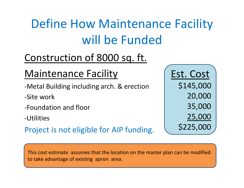# Define How Maintenance Facility will be Funded

#### Construction of 8000 sq. ft.

#### Maintenance Facility

- ‐Metal Building including arch. & erection
- ‐Site work
- ‐Foundation and floor

‐Utilities

Project is not eligible for AIP funding.

Est. Cost \$145,000 20,000 35,000 25,000 \$225,000

This cost estimate assumes that the location on the master plan can be modified to take advantage of existing apron area.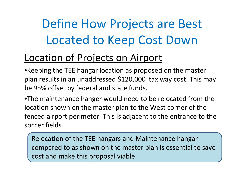# Define How Projects are Best Located to Keep Cost Down

#### Location of Projects on Airport

•Keeping the TEE hangar location as proposed on the master plan results in an unaddressed \$120,000 taxiway cost. This may be 95% offset by federal and state funds.

•The maintenance hanger would need to be relocated from the location shown on the master plan to the West corner of the fenced airport perimeter. This is adjacent to the entrance to the soccer fields.

Relocation of the TEE hangars and Maintenance hangar compared to as shown on the master plan is essential to save cost and make this proposal viable.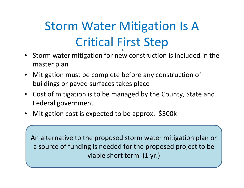# Storm Water Mitigation Is A Critical First Step

- Storm water mitigation for new construction is included in the master plan
- Mitigation must be complete before any construction of buildings or paved surfaces takes place
- Cost of mitigation is to be managed by the County, State and Federal government
- Mitigation cost is expected to be approx. \$300k

An alternative to the proposed storm water mitigation plan or a source of funding is needed for the proposed project to be viable short term (1 yr.)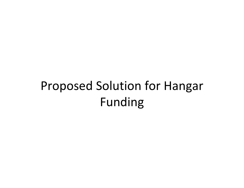# Proposed Solution for Hangar Funding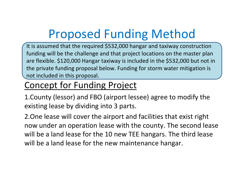# Proposed Funding Method

It is assumed that the required \$532,000 hangar and taxiway construction funding will be the challenge and that project locations on the master plan are flexible. \$120,000 Hangar taxiway is included in the \$532,000 but not in the private funding proposal below. Funding for storm water mitigation is not included in this proposal.

#### Concept for Funding Project

1.County (lessor) and FBO (airport lessee) agree to modify the existing lease by dividing into 3 parts.

2.One lease will cover the airport and facilities that exist right now under an operation lease with the county. The second lease will be <sup>a</sup> land lease for the 10 new TEE hangars. The third lease will be <sup>a</sup> land lease for the new maintenance hangar.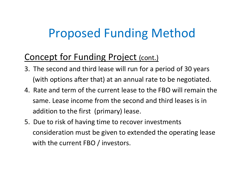## Proposed Funding Method

#### Concept for Funding Project (cont.)

- 3. The second and third lease will run for <sup>a</sup> period of 30 years (with options after that) at an annual rate to be negotiated.
- 4. Rate and term of the current lease to the FBO will remain the same. Lease income from the second and third leases is in addition to the first (primary) lease.
- 5. Due to risk of having time to recover investments consideration must be given to extended the operating lease with the current FBO / investors.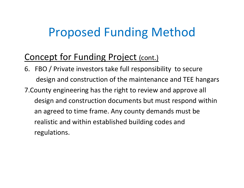## Proposed Funding Method

#### Concept for Funding Project (cont.)

6. FBO / Private investors take full responsibility to secure design and construction of the maintenance and TEE hangars 7.County engineering has the right to review and approve all design and construction documents but must respond within an agreed to time frame. Any county demands must be realistic and within established building codes and regulations.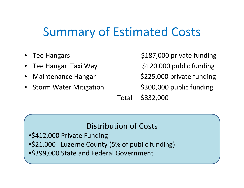## Summary of Estimated Costs

- Tee Hangars
- Tee Hangar Taxi Way
- **Maintenance Hangar**
- **Storm Water Mitigation**

\$187,000 private funding \$120,000 public funding \$225,000 private funding \$300,000 public funding \$832,000

#### Distribution of Costs

Total

•\$412,000 Private Funding •\$21,000 Luzerne County (5% of public funding) •\$399,000 State and Federal Government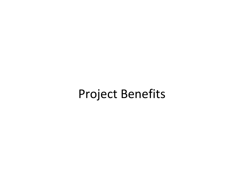#### Project Benefits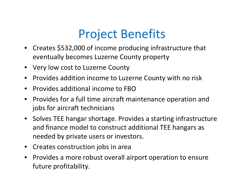## Project Benefits

- Creates \$532,000 of income producing infrastructure that eventually becomes Luzerne County property
- Very low cost to Luzerne County
- Provides addition income to Luzerne County with no risk
- Provides additional income to FBO
- Provides for <sup>a</sup> full time aircraft maintenance operation and jobs for aircraft technicians
- Solves TEE hangar shortage. Provides <sup>a</sup> starting infrastructure and finance model to construct additional TEE hangars as needed by private users or investors.
- Creates construction jobs in area
- Provides a more robust overall airport operation to ensure future profitability.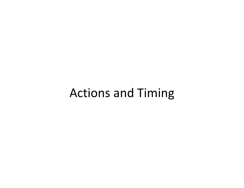#### Actions and Timing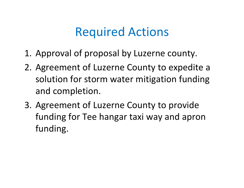### Required Actions

- 1. Approval of proposal by Luzerne county.
- 2. Agreement of Luzerne County to expedite <sup>a</sup> solution for storm water mitigation funding and completion.
- 3. Agreement of Luzerne County to provide funding for Tee hangar taxi way and apron funding.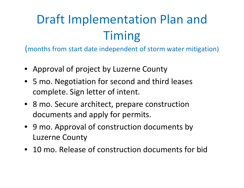# Draft Implementation Plan and Timing

(months from start date independent of storm water mitigation)

- Approval of project by Luzerne County
- 5 mo. Negotiation for second and third leases complete. Sign letter of intent.
- 8 mo. Secure architect, prepare construction documents and apply for permits.
- 9 mo. Approval of construction documents by Luzerne County
- 10 mo. Release of construction documents for bid